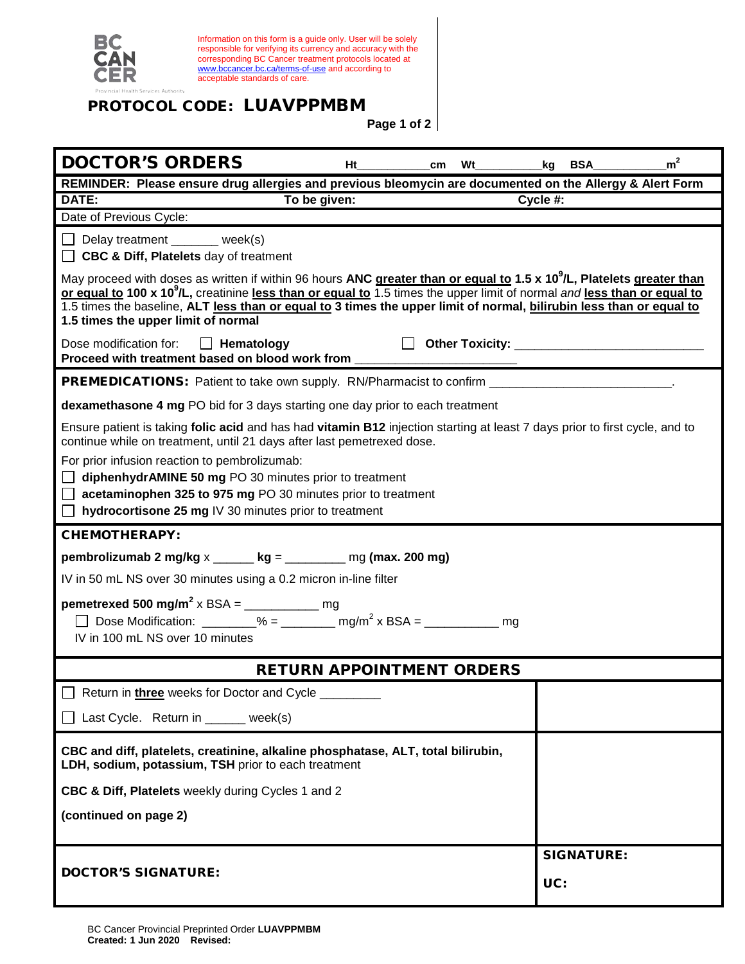

Information on this form is a guide only. User will be solely responsible for verifying its currency and accuracy with the corresponding BC Cancer treatment protocols located at [www.bccancer.bc.ca/terms-of-use](http://www.bccancer.bc.ca/terms-of-use) and according to acceptable standards of care.

## PROTOCOL CODE: LUAVPPMBM

**Page 1 of 2**

| <b>DOCTOR'S ORDERS</b>                                                                                                                                                                                                                                                                                                                                                                                                                    | Ht           | cm | Wt                | <b>BSA</b><br>kq                  | m <sup>2</sup> |  |
|-------------------------------------------------------------------------------------------------------------------------------------------------------------------------------------------------------------------------------------------------------------------------------------------------------------------------------------------------------------------------------------------------------------------------------------------|--------------|----|-------------------|-----------------------------------|----------------|--|
| REMINDER: Please ensure drug allergies and previous bleomycin are documented on the Allergy & Alert Form                                                                                                                                                                                                                                                                                                                                  |              |    |                   |                                   |                |  |
| DATE:                                                                                                                                                                                                                                                                                                                                                                                                                                     | To be given: |    |                   | Cycle #:                          |                |  |
| Date of Previous Cycle:                                                                                                                                                                                                                                                                                                                                                                                                                   |              |    |                   |                                   |                |  |
| Delay treatment _______ week(s)<br><b>CBC &amp; Diff, Platelets day of treatment</b>                                                                                                                                                                                                                                                                                                                                                      |              |    |                   |                                   |                |  |
| May proceed with doses as written if within 96 hours ANC greater than or equal to 1.5 x 10 <sup>9</sup> /L, Platelets greater than<br>or equal to 100 x 10 <sup>9</sup> /L, creatinine less than or equal to 1.5 times the upper limit of normal and less than or equal to<br>1.5 times the baseline, ALT less than or equal to 3 times the upper limit of normal, bilirubin less than or equal to<br>1.5 times the upper limit of normal |              |    |                   |                                   |                |  |
| Dose modification for:<br>$\Box$ Hematology<br>Proceed with treatment based on blood work from                                                                                                                                                                                                                                                                                                                                            |              |    |                   | Other Toxicity: _________________ |                |  |
| <b>PREMEDICATIONS:</b> Patient to take own supply. RN/Pharmacist to confirm ________________                                                                                                                                                                                                                                                                                                                                              |              |    |                   |                                   |                |  |
| dexamethasone 4 mg PO bid for 3 days starting one day prior to each treatment                                                                                                                                                                                                                                                                                                                                                             |              |    |                   |                                   |                |  |
| Ensure patient is taking folic acid and has had vitamin B12 injection starting at least 7 days prior to first cycle, and to<br>continue while on treatment, until 21 days after last pemetrexed dose.                                                                                                                                                                                                                                     |              |    |                   |                                   |                |  |
| For prior infusion reaction to pembrolizumab:<br>diphenhydrAMINE 50 mg PO 30 minutes prior to treatment<br>$\Box$ acetaminophen 325 to 975 mg PO 30 minutes prior to treatment<br>hydrocortisone 25 mg IV 30 minutes prior to treatment                                                                                                                                                                                                   |              |    |                   |                                   |                |  |
| <b>CHEMOTHERAPY:</b>                                                                                                                                                                                                                                                                                                                                                                                                                      |              |    |                   |                                   |                |  |
| pembrolizumab 2 mg/kg $x$ _____ kg = _______ mg (max. 200 mg)                                                                                                                                                                                                                                                                                                                                                                             |              |    |                   |                                   |                |  |
| IV in 50 mL NS over 30 minutes using a 0.2 micron in-line filter                                                                                                                                                                                                                                                                                                                                                                          |              |    |                   |                                   |                |  |
| <b>pemetrexed 500 mg/m<sup>2</sup> x BSA = ____________ mg</b><br>Dose Modification: ________% = _________ mg/m <sup>2</sup> x BSA = _____________<br>mg<br>IV in 100 mL NS over 10 minutes                                                                                                                                                                                                                                               |              |    |                   |                                   |                |  |
| <b>RETURN APPOINTMENT ORDERS</b>                                                                                                                                                                                                                                                                                                                                                                                                          |              |    |                   |                                   |                |  |
| Return in <i>three</i> weeks for Doctor and Cycle _                                                                                                                                                                                                                                                                                                                                                                                       |              |    |                   |                                   |                |  |
| Last Cycle. Return in _____ week(s)                                                                                                                                                                                                                                                                                                                                                                                                       |              |    |                   |                                   |                |  |
| CBC and diff, platelets, creatinine, alkaline phosphatase, ALT, total bilirubin,<br>LDH, sodium, potassium, TSH prior to each treatment                                                                                                                                                                                                                                                                                                   |              |    |                   |                                   |                |  |
| CBC & Diff, Platelets weekly during Cycles 1 and 2                                                                                                                                                                                                                                                                                                                                                                                        |              |    |                   |                                   |                |  |
| (continued on page 2)                                                                                                                                                                                                                                                                                                                                                                                                                     |              |    |                   |                                   |                |  |
| <b>DOCTOR'S SIGNATURE:</b>                                                                                                                                                                                                                                                                                                                                                                                                                |              |    | <b>SIGNATURE:</b> |                                   |                |  |
|                                                                                                                                                                                                                                                                                                                                                                                                                                           |              |    |                   | UC:                               |                |  |